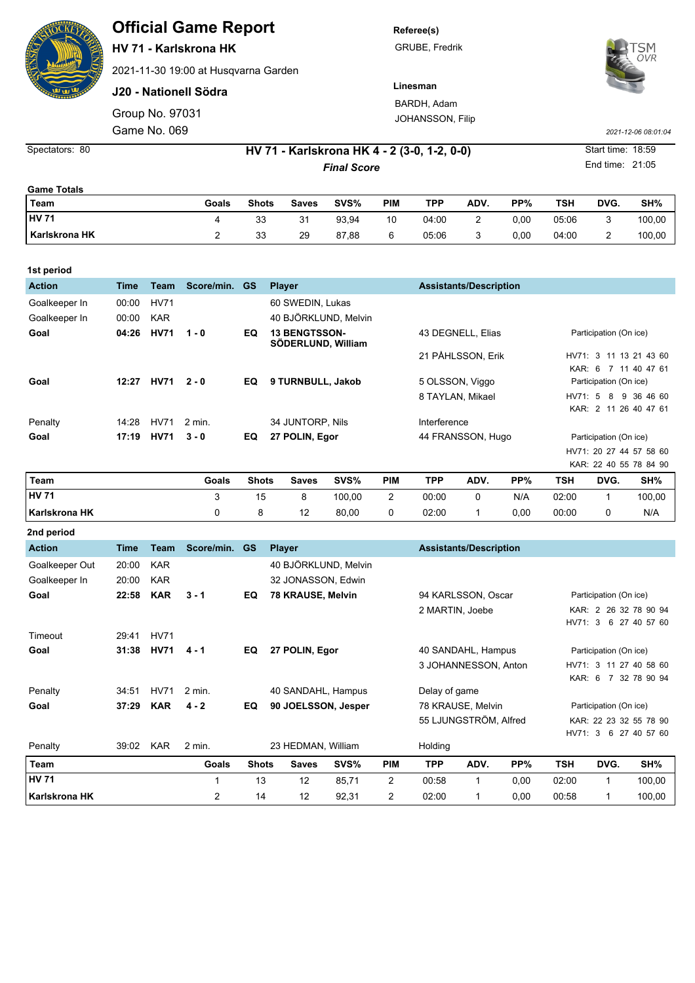## **Official Game Report**

**HV 71 - Karlskrona HK**

2021-11-30 19:00 at Husqvarna Garden

**J20 - Nationell Södra**

Group No. 97031 Game No. 069 *2021-12-06 08:01:04*

**Referee(s)**

GRUBE, Fredrik



JOHANSSON, Filip



Spectators: 80 **HV 71 - Karlskrona HK 4 - 2 (3-0, 1-2, 0-0)** Start time: 18:59

**Final Score** End time: 21:05

| <b>Game Totals</b> |       |              |       |       |     |       |      |      |       |      |        |
|--------------------|-------|--------------|-------|-------|-----|-------|------|------|-------|------|--------|
| Team               | Goals | <b>Shots</b> | Saves | SVS%  | PIM | TPP   | ADV. | PP%  | TSH   | DVG. | SH%    |
| <b>HV 71</b>       |       | 33           | 31    | 93,94 | 10  | 04:00 | ∸    | 0.00 | 05:06 |      | 100,00 |
| l Karlskrona HK    |       | 33           | 29    | 87,88 | 6   | 05:06 | ບ    | 0,00 | 04:00 |      | 100,00 |

| 1st period    |       |             |            |           |                                            |                               |                            |
|---------------|-------|-------------|------------|-----------|--------------------------------------------|-------------------------------|----------------------------|
| <b>Action</b> | Time  | Team        | Score/min. | <b>GS</b> | <b>Player</b>                              | <b>Assistants/Description</b> |                            |
| Goalkeeper In | 00:00 | <b>HV71</b> |            |           | 60 SWEDIN, Lukas                           |                               |                            |
| Goalkeeper In | 00:00 | <b>KAR</b>  |            |           | 40 BJÖRKLUND, Melvin                       |                               |                            |
| Goal          | 04:26 | <b>HV71</b> | $1 - 0$    | EQ        | <b>13 BENGTSSON-</b><br>SÖDERLUND, William | 43 DEGNELL, Elias             | Participation (On ice)     |
|               |       |             |            |           |                                            | 21 PÅHLSSON, Erik             | HV71: 3 11 13 21 43 60     |
|               |       |             |            |           |                                            |                               | KAR: 6 7 11 40 47 61       |
| Goal          | 12:27 | <b>HV71</b> | $2 - 0$    | EQ.       | 9 TURNBULL, Jakob                          | 5 OLSSON, Viggo               | Participation (On ice)     |
|               |       |             |            |           |                                            | 8 TAYLAN, Mikael              | 9 36 46 60<br>HV71: 5 8    |
|               |       |             |            |           |                                            |                               | KAR: 2 11 26 40 47 61      |
| Penalty       | 14:28 | <b>HV71</b> | 2 min.     |           | 34 JUNTORP. Nils                           | Interference                  |                            |
| Goal          | 17:19 | <b>HV71</b> | $3 - 0$    | EQ        | 27 POLIN, Egor                             | 44 FRANSSON, Hugo             | Participation (On ice)     |
|               |       |             |            |           |                                            |                               | HV71: 20 27 44 57<br>58 60 |
|               |       |             |            |           |                                            |                               | KAR: 22 40 55 78 84 90     |

| Team                 | Goals | <b>Shots</b> | <b>Saves</b> | SVS%   | PIM | <b>TPP</b> | ADV. | PP%  | TSH   | DVG. | SH%    |
|----------------------|-------|--------------|--------------|--------|-----|------------|------|------|-------|------|--------|
| <b>HV 71</b>         |       |              |              | 100.00 | -   | 00:00      |      | N/A  | 02:00 |      | 100,00 |
| <b>Karlskrona HK</b> |       |              |              | 80,00  |     | 02:00      |      | 0.00 | 00:00 |      | N/A    |

| 2nd period     |       |             |                |              |                      |       |                |                    |                               |                        |                        |                        |                        |  |
|----------------|-------|-------------|----------------|--------------|----------------------|-------|----------------|--------------------|-------------------------------|------------------------|------------------------|------------------------|------------------------|--|
| <b>Action</b>  | Time  | <b>Team</b> | Score/min.     | <b>GS</b>    | <b>Player</b>        |       |                |                    | <b>Assistants/Description</b> |                        |                        |                        |                        |  |
| Goalkeeper Out | 20:00 | <b>KAR</b>  |                |              | 40 BJÖRKLUND, Melvin |       |                |                    |                               |                        |                        |                        |                        |  |
| Goalkeeper In  | 20:00 | <b>KAR</b>  |                |              | 32 JONASSON, Edwin   |       |                |                    |                               |                        |                        |                        |                        |  |
| Goal           | 22:58 | <b>KAR</b>  | $3 - 1$        | EQ           | 78 KRAUSE, Melvin    |       |                |                    | 94 KARLSSON, Oscar            |                        |                        | Participation (On ice) |                        |  |
|                |       |             |                |              |                      |       |                |                    | 2 MARTIN, Joebe               |                        |                        |                        | KAR: 2 26 32 78 90 94  |  |
|                |       |             |                |              |                      |       |                |                    |                               |                        | HV71: 3                |                        | 6 27 40 57 60          |  |
| Timeout        | 29:41 | <b>HV71</b> |                |              |                      |       |                |                    |                               |                        |                        |                        |                        |  |
| Goal           | 31:38 | <b>HV71</b> | $4 - 1$        | EQ           | 27 POLIN, Egor       |       |                | 40 SANDAHL, Hampus |                               |                        | Participation (On ice) |                        |                        |  |
|                |       |             |                |              |                      |       |                |                    | 3 JOHANNESSON, Anton          |                        |                        |                        | HV71: 3 11 27 40 58 60 |  |
|                |       |             |                |              |                      |       |                |                    |                               |                        | KAR: 6                 |                        | 7 32 78 90 94          |  |
| Penalty        | 34:51 | <b>HV71</b> | 2 min.         |              | 40 SANDAHL, Hampus   |       |                | Delay of game      |                               |                        |                        |                        |                        |  |
| Goal           | 37:29 | <b>KAR</b>  | $4 - 2$        | EQ           | 90 JOELSSON, Jesper  |       |                | 78 KRAUSE, Melvin  |                               | Participation (On ice) |                        |                        |                        |  |
|                |       |             |                |              |                      |       |                |                    | 55 LJUNGSTRÖM, Alfred         |                        |                        |                        | KAR: 22 23 32 55 78 90 |  |
|                |       |             |                |              |                      |       |                |                    |                               |                        | HV71: 3                |                        | 6 27 40 57 60          |  |
| Penalty        | 39:02 | <b>KAR</b>  | 2 min.         |              | 23 HEDMAN, William   |       |                | Holding            |                               |                        |                        |                        |                        |  |
| Team           |       |             | Goals          | <b>Shots</b> | <b>Saves</b>         | SVS%  | <b>PIM</b>     | <b>TPP</b>         | ADV.                          | PP%                    | TSH                    | DVG.                   | SH%                    |  |
| <b>HV 71</b>   |       |             | 1              | 13           | 12                   | 85,71 | $\overline{2}$ | 00:58              | 1                             | 0,00                   | 02:00                  | 1                      | 100,00                 |  |
| Karlskrona HK  |       |             | $\overline{2}$ | 14           | 12                   | 92,31 | 2              | 02:00              | 1                             | 0,00                   | 00:58                  |                        | 100,00                 |  |